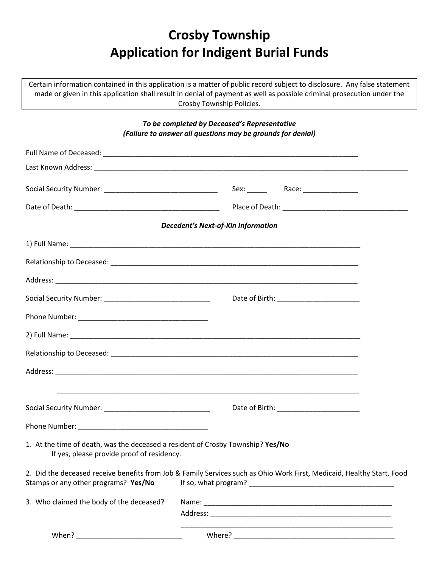## **Crosby Township Application for Indigent Burial Funds**

Certain information contained in this application is a matter of public record subject to disclosure. Any false statement made or given in this application shall result in denial of payment as well as possible criminal prosecution under the Crosby Township Policies.

*To be completed by Deceased's Representative*

| (Failure to answer all questions may be grounds for denial)                                                                   |                                                                                                                                                |  |
|-------------------------------------------------------------------------------------------------------------------------------|------------------------------------------------------------------------------------------------------------------------------------------------|--|
|                                                                                                                               |                                                                                                                                                |  |
|                                                                                                                               |                                                                                                                                                |  |
|                                                                                                                               | Sex: ________  Race: ___________________                                                                                                       |  |
|                                                                                                                               |                                                                                                                                                |  |
|                                                                                                                               | <b>Decedent's Next-of-Kin Information</b>                                                                                                      |  |
|                                                                                                                               |                                                                                                                                                |  |
|                                                                                                                               |                                                                                                                                                |  |
|                                                                                                                               |                                                                                                                                                |  |
|                                                                                                                               | Date of Birth: ______________________                                                                                                          |  |
|                                                                                                                               |                                                                                                                                                |  |
|                                                                                                                               |                                                                                                                                                |  |
|                                                                                                                               |                                                                                                                                                |  |
|                                                                                                                               |                                                                                                                                                |  |
|                                                                                                                               |                                                                                                                                                |  |
|                                                                                                                               | Date of Birth: ________________________                                                                                                        |  |
|                                                                                                                               |                                                                                                                                                |  |
| 1. At the time of death, was the deceased a resident of Crosby Township? Yes/No<br>If yes, please provide proof of residency. |                                                                                                                                                |  |
| Stamps or any other programs? Yes/No                                                                                          | 2. Did the deceased receive benefits from Job & Family Services such as Ohio Work First, Medicaid, Healthy Start, Food<br>If so, what program? |  |
| 3. Who claimed the body of the deceased?                                                                                      |                                                                                                                                                |  |
|                                                                                                                               |                                                                                                                                                |  |
| When?                                                                                                                         |                                                                                                                                                |  |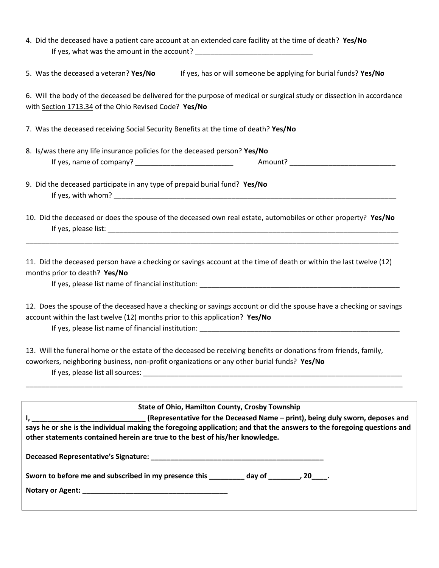|                                                                                     | 4. Did the deceased have a patient care account at an extended care facility at the time of death? Yes/No                                                                                                       |
|-------------------------------------------------------------------------------------|-----------------------------------------------------------------------------------------------------------------------------------------------------------------------------------------------------------------|
| 5. Was the deceased a veteran? Yes/No                                               | If yes, has or will someone be applying for burial funds? Yes/No                                                                                                                                                |
|                                                                                     |                                                                                                                                                                                                                 |
| with Section 1713.34 of the Ohio Revised Code? Yes/No                               | 6. Will the body of the deceased be delivered for the purpose of medical or surgical study or dissection in accordance                                                                                          |
| 7. Was the deceased receiving Social Security Benefits at the time of death? Yes/No |                                                                                                                                                                                                                 |
| 8. Is/was there any life insurance policies for the deceased person? Yes/No         |                                                                                                                                                                                                                 |
|                                                                                     |                                                                                                                                                                                                                 |
| 9. Did the deceased participate in any type of prepaid burial fund? Yes/No          |                                                                                                                                                                                                                 |
|                                                                                     | 10. Did the deceased or does the spouse of the deceased own real estate, automobiles or other property? Yes/No                                                                                                  |
| months prior to death? Yes/No                                                       | 11. Did the deceased person have a checking or savings account at the time of death or within the last twelve (12)                                                                                              |
| account within the last twelve (12) months prior to this application? Yes/No        | 12. Does the spouse of the deceased have a checking or savings account or did the spouse have a checking or savings                                                                                             |
|                                                                                     | 13. Will the funeral home or the estate of the deceased be receiving benefits or donations from friends, family,<br>coworkers, neighboring business, non-profit organizations or any other burial funds? Yes/No |
|                                                                                     | <b>State of Ohio, Hamilton County, Crosby Township</b>                                                                                                                                                          |
| other statements contained herein are true to the best of his/her knowledge.        | says he or she is the individual making the foregoing application; and that the answers to the foregoing questions and                                                                                          |
|                                                                                     |                                                                                                                                                                                                                 |
|                                                                                     | Sworn to before me and subscribed in my presence this ________ day of _______, 20___.                                                                                                                           |
|                                                                                     |                                                                                                                                                                                                                 |